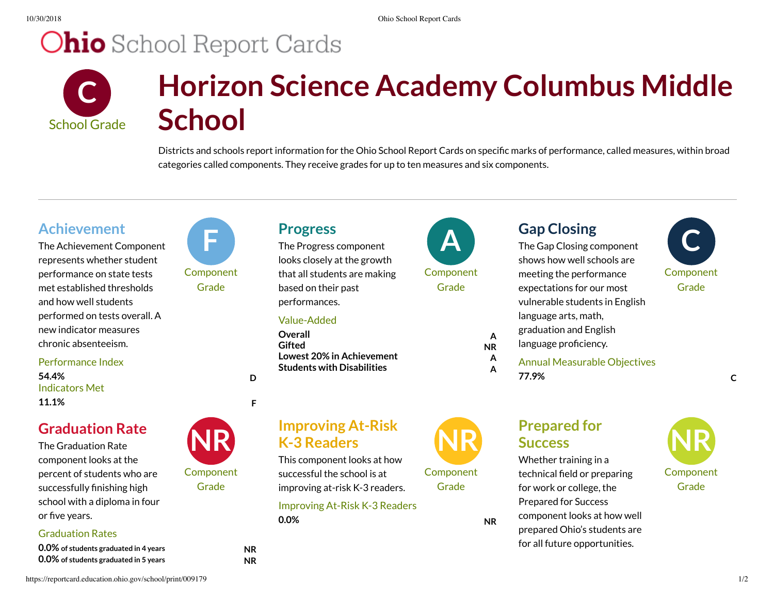# **Ohio** School Report Cards



# **Horizon Science Academy Columbus Middle School**

Districts and schools report information for the Ohio School Report Cards on specific marks of performance, called measures, within broad categories called components. They receive grades for up to ten measures and six components.

### **Achievement**

The Achievement Component represents whether student performance on state tests met established thresholds and how well students performed on tests overall. A new indicator measures chronic absenteeism.

Performance Index Indicators Met **54.4% D 11.1% F**

### **Graduation Rate**

The Graduation Rate component looks at the percent of students who are successfully finishing high school with a diploma in four or five vears.

### Graduation Rates

**0.0% of students graduated in <sup>4</sup> years NR 0.0% of students graduated in <sup>5</sup> years NR**



Component Grade

Component Grade



looks closely at the growth that all students are making based on their past performances.

#### Value-Added

**Overall A Gifted NR Lowest 20% in Achievement A Students with Disabilities A**

This component looks at how successful the school is at improving at-risk K-3 readers.

Improving At-Risk K-3 Readers

**Improving At-Risk**

**K-3** Readers



**Component** 

**Component Grade** 

Grade

shows how well schools are meeting the performance expectations for our most vulnerable students in English language arts, math, graduation and English language proficiency.

Annual Measurable Objectives **77.9% C**

# $\begin{array}{ccc} \mathsf{Gap\,} \mathsf{Closing} \ \mathsf{The\,Gap\,} \mathsf{Closing\,} \end{array}$ **Component** Grade

## **Prepared for Success NR**

Whether training in a technical field or preparing for work or college, the Prepared for Success component looks at how well prepared Ohio's students are for all future opportunities.



**0.0% NR**

https://reportcard.education.ohio.gov/school/print/009179 1/2